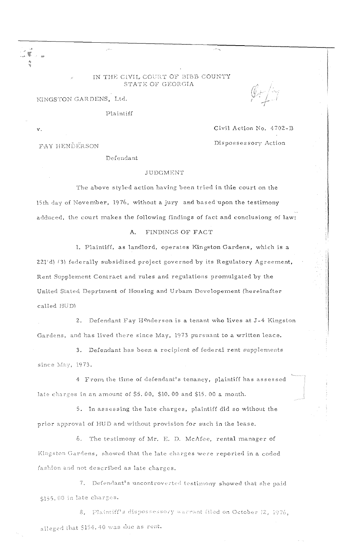## IN THE CIVIL COURT OF BIBB COUNTY STATE OF GEORGIA

KINGSTON GARDENS, Ltd.

Plaintiff

 $\mathcal{L}_{\text{max}}$ 

 $\bar{\mathbf{v}}$  .

íK.

**FAY HENDERSON** 

Civil Action No. 4702-B Dispossessory Action

Defendant

## **JUDGMENT**

The above styled action having been tried in thie court on the 15th day of November, 1976, without a jury and based upon the testimony adduced, the court makes the following findings of fact and conclusiong of law:

## A. FINDINGS OF FACT

1. Plaintiff, as landlord, operates Kingston Gardens, which is a 221'd) (3) federally subsidized project governed by its Regulatory Agreement, Rent Supplement Contract and rules and regulations promulgated by the United Stated Deprtment of Housing and Urbam Developement (hereinafter called HUD)

2. Defendant Fay Henderson is a tenant who lives at J-4 Kingston Gardens, and has lived there since May, 1973 pursuant to a written leace.

3. Defendant has been a recipient of federal rent supplements since May, 1973.

4 From the time of defendant's tenancy, plaintiff has assessed late charges in an amount of \$5.00, \$10.00 and \$15.00 a month.

5. In assessing the late charges, plaintiff did so without the prior approval of HUD and without provision for such in the lease.

6. The testimony of Mr. E. D. McAfee, rental manager of Kingston Gardens, showed that the late charges were reported in a coded fashion and not described as late charges.

7. Defendant's uncontroverted testimony showed that she paid \$155.00 in late charges.

8. Plaintiff's dispossessory warrant filed on October 12, 1976, alleged that \$154.40 was due as rent.